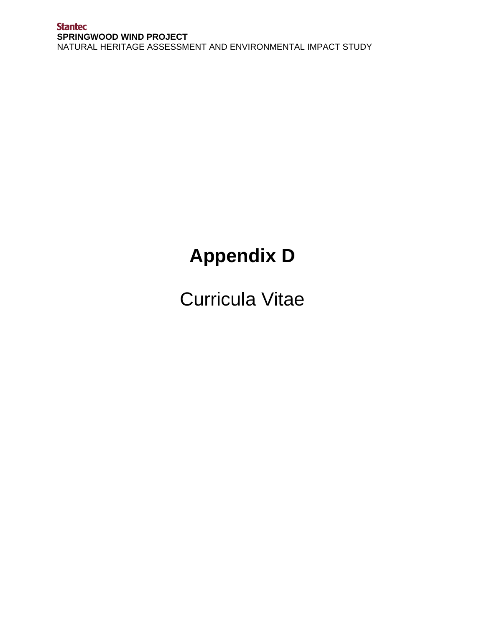# **Appendix D**

Curricula Vitae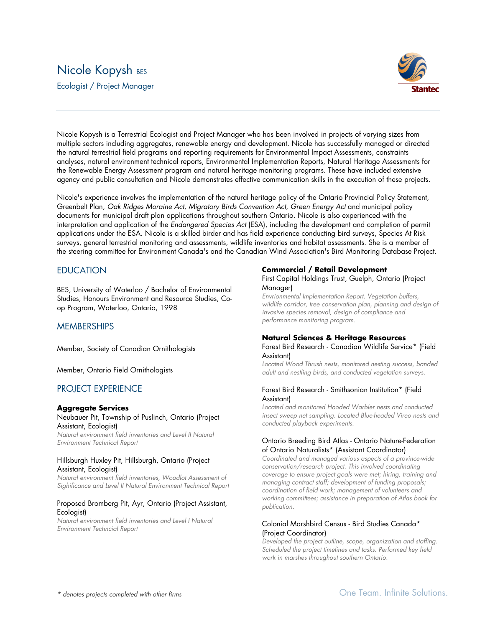# Nicole Kopysh BES

Ecologist / Project Manager



Nicole Kopysh is a Terrestrial Ecologist and Project Manager who has been involved in projects of varying sizes from multiple sectors including aggregates, renewable energy and development. Nicole has successfully managed or directed the natural terrestrial field programs and reporting requirements for Environmental Impact Assessments, constraints analyses, natural environment technical reports, Environmental Implementation Reports, Natural Heritage Assessments for the Renewable Energy Assessment program and natural heritage monitoring programs. These have included extensive agency and public consultation and Nicole demonstrates effective communication skills in the execution of these projects.

Nicole's experience involves the implementation of the natural heritage policy of the Ontario Provincial Policy Statement, Greenbelt Plan, *Oak Ridges Moraine Act*, *Migratory Birds Convention Act*, *Green Energy Act* and municipal policy documents for municipal draft plan applications throughout southern Ontario. Nicole is also experienced with the interpretation and application of the *Endangered Species Act* (ESA), including the development and completion of permit applications under the ESA. Nicole is a skilled birder and has field experience conducting bird surveys, Species At Risk surveys, general terrestrial monitoring and assessments, wildlife inventories and habitat assessments. She is a member of the steering committee for Environment Canada's and the Canadian Wind Association's Bird Monitoring Database Project.

# **EDUCATION**

BES, University of Waterloo / Bachelor of Environmental Studies, Honours Environment and Resource Studies, Coop Program, Waterloo, Ontario, 1998

# **MEMBERSHIPS**

Member, Society of Canadian Ornithologists

Member, Ontario Field Ornithologists

# PROJECT EXPERIENCE

#### **Aggregate Services**

#### Neubauer Pit, Township of Puslinch, Ontario (Project Assistant, Ecologist)

*Natural environment field inventories and Level II Natural Environment Technical Report*

#### Hillsburgh Huxley Pit, Hillsburgh, Ontario (Project Assistant, Ecologist)

*Natural environment field inventories, Woodlot Assessment of Sighificance and Level II Natural Environment Technical Report*

#### Proposed Bromberg Pit, Ayr, Ontario (Project Assistant, Ecologist)

*Natural environment field inventories and Level I Natural Environment Techncial Report*

#### **Commercial / Retail Development**

First Capital Holdings Trust, Guelph, Ontario (Project Manager)

*Envrionmental Implementation Report. Vegetation buffers, wildlife corridor, tree conservation plan, planning and design of invasive species removal, design of compliance and performance monitoring program.*

#### **Natural Sciences & Heritage Resources**

Forest Bird Research - Canadian Wildlife Service\* (Field Assistant)

*Located Wood Thrush nests, monitored nesting success, banded adult and nestling birds, and conducted vegetation surveys.*

#### Forest Bird Research - Smithsonian Institution\* (Field Assistant)

*Located and monitored Hooded Warbler nests and conducted insect sweep net sampling. Located Blue-headed Vireo nests and conducted playback experiments.*

#### Ontario Breeding Bird Atlas - Ontario Nature-Federation of Ontario Naturalists\* (Assistant Coordinator)

*Coordinated and managed various aspects of a province-wide conservation/research project. This involved coordinating coverage to ensure project goals were met; hiring, training and managing contract staff; development of funding proposals; coordination of field work; management of volunteers and working committees; assistance in preparation of Atlas book for publication.*

#### Colonial Marshbird Census - Bird Studies Canada\* (Project Coordinator)

*Developed the project outline, scope, organization and staffing. Scheduled the project timelines and tasks. Performed key field work in marshes throughout southern Ontario.*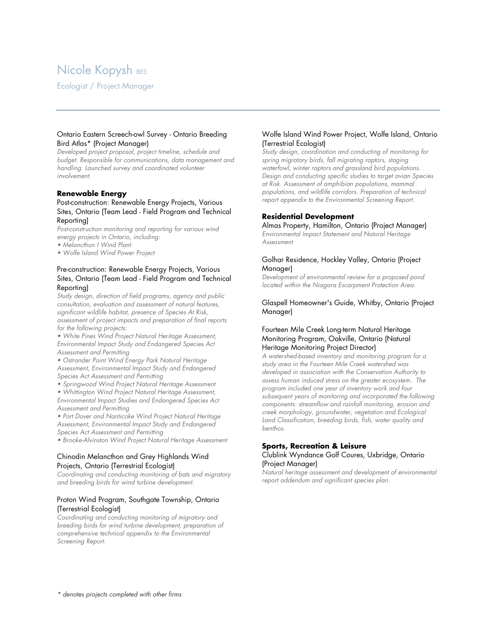# Nicole Kopysh BES

Ecologist / Project Manager

#### Ontario Eastern Screech-owl Survey - Ontario Breeding Bird Atlas\* (Project Manager)

*Developed project proposal, project timeline, schedule and budget. Responsible for communications, data management and handling. Launched survey and coordinated volunteer involvement.*

#### **Renewable Energy**

#### Post-construction: Renewable Energy Projects, Various Sites, Ontario (Team Lead - Field Program and Technical Reporting)

*Post-construction monitoring and reporting for various wind energy projects in Ontario, including: • Melancthon I Wind Plant*

*• Wolfe Island Wind Power Project*

#### Pre-construction: Renewable Energy Projects, Various Sites, Ontario (Team Lead - Field Program and Technical Reporting)

*Study design, direction of field programs, agency and public consultation, evaluation and assessment of natural features, significant wildlife habitat, presence of Species At Risk, assessment of project impacts and preparation of final reports for the following projects:*

*• White Pines Wind Project Natural Heritage Assessment, Environmental Impact Study and Endangered Species Act Assessment and Permitting*

*• Ostrander Point Wind Energy Park Natural Heritage Assessment, Environmental Impact Study and Endangered Species Act Assessment and Permitting*

*• Springwood Wind Project Natural Heritage Assessment*

*• Whittington Wind Project Natural Heritage Assessment, Environmental Impact Studies and Endangered Species Act Assessment and Permitting*

*• Port Dover and Nanticoke Wind Project Natural Heritage Assessment, Environmental Impact Study and Endangered Species Act Assessment and Permitting*

*• Brooke-Alvinston Wind Project Natural Heritage Assessment*

#### Chinodin Melancthon and Grey Highlands Wind Projects, Ontario (Terrestrial Ecologist)

*Coordinating and conducting monitoring of bats and migratory and breeding birds for wind turbine development.*

#### Proton Wind Program, Southgate Township, Ontario (Terrestrial Ecologist)

*Coordinating and conducting monitoring of migratory and breeding birds for wind turbine development, preparation of comprehensive technical appendix to the Environmental Screening Report.*

#### Wolfe Island Wind Power Project, Wolfe Island, Ontario (Terrestrial Ecologist)

*Study design, coordination and conducting of monitoring for spring migratory birds, fall migrating raptors, staging waterfowl, winter raptors and grassland bird populations. Design and conducting specific studies to target avian Species at Risk. Assessment of amphibian populations, mammal populations, and wildlife corridors. Preparation of technical report appendix to the Environmental Screening Report.*

#### **Residential Development**

Almas Property, Hamilton, Ontario (Project Manager) *Environmental Impact Statement and Natural Heritage Assessment*

#### Golhar Residence, Hockley Valley, Ontario (Project Manager)

*Development of environmental review for a proposed pond located within the Niagara Escarpment Protection Area.*

Glaspell Homeowner's Guide, Whitby, Ontario (Project Manager)

#### Fourteen Mile Creek Long-term Natural Heritage Monitoring Program, Oakville, Ontario (Natural Heritage Monitoring Project Director)

*A watershed-based inventory and monitoring program for a study area in the Fourteen Mile Creek watershed was developed in association with the Conservation Authority to assess human induced stress on the greater ecosystem. The program included one year of inventory work and four subsequent years of monitoring and incorporated the following components: streamflow and rainfall monitoring, erosion and creek morphology, groundwater, vegetation and Ecological Land Classification, breeding birds, fish, water quality and benthos.*

# **Sports, Recreation & Leisure**

#### Clublink Wyndance Golf Coures, Uxbridge, Ontario (Project Manager)

*Natural heritage assessment and development of environmental report addendum and significant species plan.*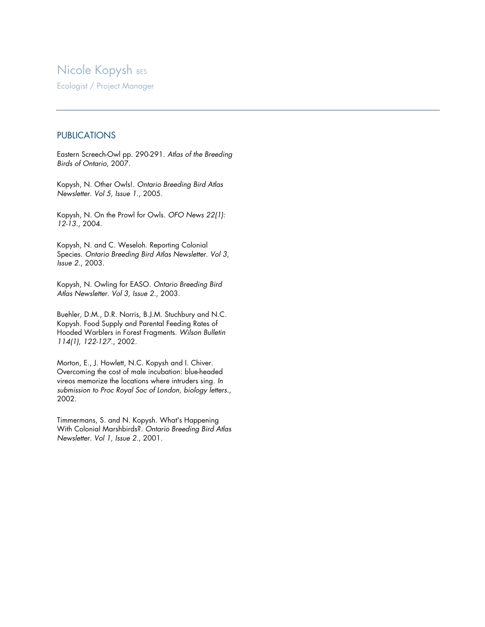# **Nicole Kopysh BES**

Ecologist / Project Manager

# **PUBLICATIONS**

Eastern Screech-Owl pp. 290-291. *Atlas of the Breeding Birds of Ontario*, 2007.

Kopysh, N. Other Owls!. *Ontario Breeding Bird Atlas Newsletter. Vol 5, Issue 1.*, 2005.

Kopysh, N. On the Prowl for Owls. *OFO News 22(1): 12-13.*, 2004.

Kopysh, N. and C. Weseloh. Reporting Colonial Species. *Ontario Breeding Bird Atlas Newsletter. Vol 3, Issue 2.*, 2003.

Kopysh, N. Owling for EASO. *Ontario Breeding Bird Atlas Newsletter. Vol 3, Issue 2.*, 2003.

Buehler, D.M., D.R. Norris, B.J.M. Stuchbury and N.C. Kopysh. Food Supply and Parental Feeding Rates of Hooded Warblers in Forest Fragments. *Wilson Bulletin 114(1), 122-127.*, 2002.

Morton, E., J. Howlett, N.C. Kopysh and I. Chiver. Overcoming the cost of male incubation: blue-headed vireos memorize the locations where intruders sing. *In submission to Proc Royal Soc of London, biology letters.*, 2002.

Timmermans, S. and N. Kopysh. What's Happening With Colonial Marshbirds?. *Ontario Breeding Bird Atlas Newsletter. Vol 1, Issue 2.*, 2001.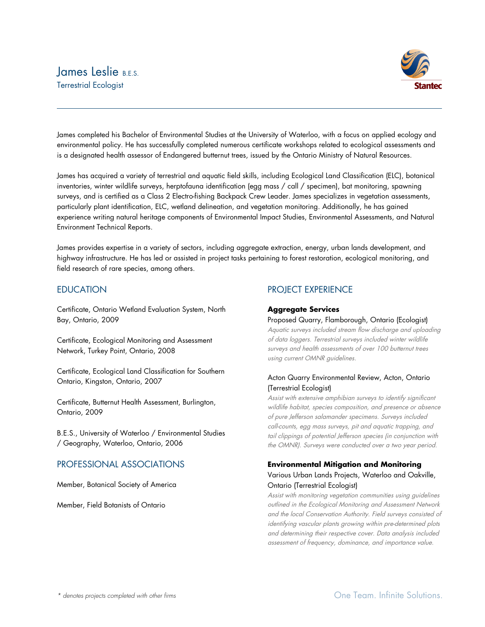# Iames Leslie BES. Terrestrial Ecologist



James completed his Bachelor of Environmental Studies at the University of Waterloo, with a focus on applied ecology and environmental policy. He has successfully completed numerous certificate workshops related to ecological assessments and is a designated health assessor of Endangered butternut trees, issued by the Ontario Ministry of Natural Resources.

James has acquired a variety of terrestrial and aquatic field skills, including Ecological Land Classification (ELC), botanical inventories, winter wildlife surveys, herptofauna identification (egg mass / call / specimen), bat monitoring, spawning surveys, and is certified as a Class 2 Electro-fishing Backpack Crew Leader. James specializes in vegetation assessments, particularly plant identification, ELC, wetland delineation, and vegetation monitoring. Additionally, he has gained experience writing natural heritage components of Environmental Impact Studies, Environmental Assessments, and Natural Environment Technical Reports.

James provides expertise in a variety of sectors, including aggregate extraction, energy, urban lands development, and highway infrastructure. He has led or assisted in project tasks pertaining to forest restoration, ecological monitoring, and field research of rare species, among others.

# EDUCATION

Certificate, Ontario Wetland Evaluation System, North Bay, Ontario, 2009

Certificate, Ecological Monitoring and Assessment Network, Turkey Point, Ontario, 2008

Certificate, Ecological Land Classification for Southern Ontario, Kingston, Ontario, 2007

Certificate, Butternut Health Assessment, Burlington, Ontario, 2009

B.E.S., University of Waterloo / Environmental Studies / Geography, Waterloo, Ontario, 2006

# PROFESSIONAL ASSOCIATIONS

Member, Botanical Society of America

Member, Field Botanists of Ontario

# PROJECT EXPERIENCE

# **Aggregate Services**

Proposed Quarry, Flamborough, Ontario (Ecologist)

Aquatic surveys included stream flow discharge and uploading of data loggers. Terrestrial surveys included winter wildlife surveys and health assessments of over 100 butternut trees using current OMNR guidelines.

# Acton Quarry Environmental Review, Acton, Ontario (Terrestrial Ecologist)

Assist with extensive amphibian surveys to identify significant wildlife habitat, species composition, and presence or absence of pure Jefferson salamander specimens. Surveys included call-counts, egg mass surveys, pit and aquatic trapping, and tail clippings of potential Jefferson species (in conjunction with the OMNR). Surveys were conducted over a two year period.

# **Environmental Mitigation and Monitoring** Various Urban Lands Projects, Waterloo and Oakville, Ontario (Terrestrial Ecologist)

Assist with monitoring vegetation communities using guidelines outlined in the Ecological Monitoring and Assessment Network and the local Conservation Authority. Field surveys consisted of identifying vascular plants growing within pre-determined plots and determining their respective cover. Data analysis included assessment of frequency, dominance, and importance value.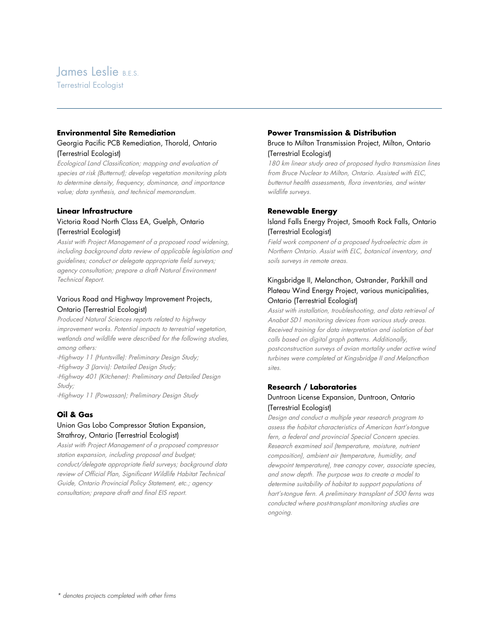# James Leslie BES.

Terrestrial Ecologist

### **Environmental Site Remediation**

#### Georgia Pacific PCB Remediation, Thorold, Ontario (Terrestrial Ecologist)

Ecological Land Classification; mapping and evaluation of species at risk (Butternut); develop vegetation monitoring plots to determine density, frequency, dominance, and importance value; data synthesis, and technical memorandum.

#### **Linear Infrastructure**

### Victoria Road North Class EA, Guelph, Ontario (Terrestrial Ecologist)

Assist with Project Management of a proposed road widening, including background data review of applicable legislation and guidelines; conduct or delegate appropriate field surveys; agency consultation; prepare a draft Natural Environment Technical Report.

# Various Road and Highway Improvement Projects, Ontario (Terrestrial Ecologist)

Produced Natural Sciences reports related to highway improvement works. Potential impacts to terrestrial vegetation, wetlands and wildlife were described for the following studies, among others:

-Highway 11 (Huntsville): Preliminary Design Study; -Highway 3 (Jarvis): Detailed Design Study; -Highway 401 (Kitchener): Preliminary and Detailed Design Study;

-Highway 11 (Powassan); Preliminary Design Study

# **Oil & Gas**

# Union Gas Lobo Compressor Station Expansion, Strathroy, Ontario (Terrestrial Ecologist)

Assist with Project Management of a proposed compressor station expansion, including proposal and budget; conduct/delegate appropriate field surveys; background data review of Official Plan, Significant Wildlife Habitat Technical Guide, Ontario Provincial Policy Statement, etc.; agency consultation; prepare draft and final EIS report.

#### **Power Transmission & Distribution**

### Bruce to Milton Transmission Project, Milton, Ontario (Terrestrial Ecologist)

180 km linear study area of proposed hydro transmission lines from Bruce Nuclear to Milton, Ontario. Assisted with ELC, butternut health assessments, flora inventories, and winter wildlife surveys.

#### **Renewable Energy**

### Island Falls Energy Project, Smooth Rock Falls, Ontario (Terrestrial Ecologist)

Field work component of a proposed hydroelectric dam in Northern Ontario. Assist with ELC, botanical inventory, and soils surveys in remote areas.

# Kingsbridge II, Melancthon, Ostrander, Parkhill and Plateau Wind Energy Project, various municipalities, Ontario (Terrestrial Ecologist)

Assist with installation, troubleshooting, and data retrieval of Anabat SD1 monitoring devices from various study areas. Received training for data interpretation and isolation of bat calls based on digital graph patterns. Additionally, post-construction surveys of avian mortality under active wind turbines were completed at Kingsbridge II and Melancthon sites.

### **Research / Laboratories** Duntroon License Expansion, Duntroon, Ontario (Terrestrial Ecologist)

Design and conduct a multiple year research program to assess the habitat characteristics of American hart's-tongue fern, a federal and provincial Special Concern species. Research examined soil (temperature, moisture, nutrient composition), ambient air (temperature, humidity, and dewpoint temperature), tree canopy cover, associate species, and snow depth. The purpose was to create a model to determine suitability of habitat to support populations of hart's-tongue fern. A preliminary transplant of 500 ferns was conducted where post-transplant monitoring studies are ongoing.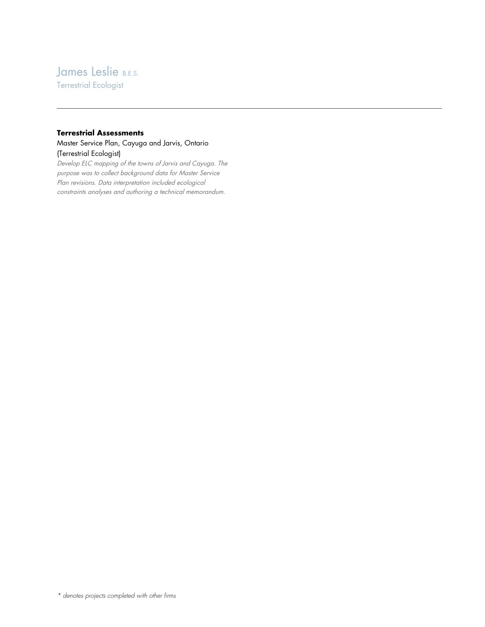# James Leslie B.E.S.

Terrestrial Ecologist

# **Terrestrial Assessments**

### Master Service Plan, Cayuga and Jarvis, Ontario (Terrestrial Ecologist)

Develop ELC mapping of the towns of Jarvis and Cayuga. The purpose was to collect background data for Master Service Plan revisions. Data interpretation included ecological constraints analyses and authoring a technical memorandum.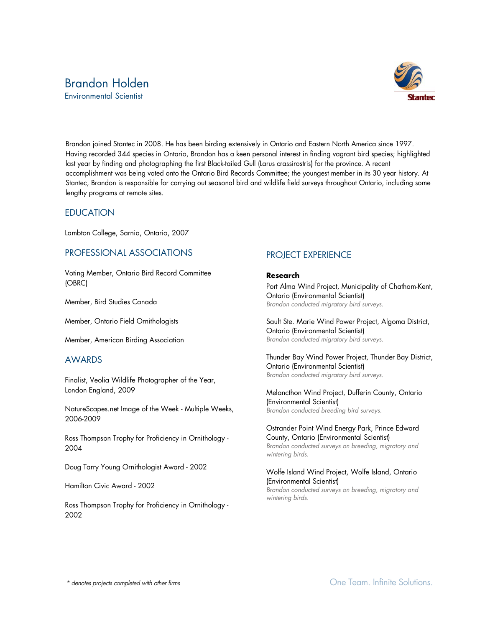# Brandon Holden

Environmental Scientist



Brandon joined Stantec in 2008. He has been birding extensively in Ontario and Eastern North America since 1997. Having recorded 344 species in Ontario, Brandon has a keen personal interest in finding vagrant bird species; highlighted last year by finding and photographing the first Black-tailed Gull (Larus crassirostris) for the province. A recent accomplishment was being voted onto the Ontario Bird Records Committee; the youngest member in its 30 year history. At Stantec, Brandon is responsible for carrying out seasonal bird and wildlife field surveys throughout Ontario, including some lengthy programs at remote sites.

# **EDUCATION**

Lambton College, Sarnia, Ontario, 2007

# PROFESSIONAL ASSOCIATIONS

Voting Member, Ontario Bird Record Committee (OBRC)

Member, Bird Studies Canada

Member, Ontario Field Ornithologists

Member, American Birding Association

# AWARDS

Finalist, Veolia Wildlife Photographer of the Year, London England, 2009

NatureScapes.net Image of the Week - Multiple Weeks, 2006-2009

Ross Thompson Trophy for Proficiency in Ornithology - 2004

Doug Tarry Young Ornithologist Award - 2002

Hamilton Civic Award - 2002

Ross Thompson Trophy for Proficiency in Ornithology - 2002

# PROJECT EXPERIENCE

#### **Research**

Port Alma Wind Project, Municipality of Chatham-Kent, Ontario (Environmental Scientist) *Brandon conducted migratory bird surveys.*

Sault Ste. Marie Wind Power Project, Algoma District, Ontario (Environmental Scientist) *Brandon conducted migratory bird surveys.*

Thunder Bay Wind Power Project, Thunder Bay District, Ontario (Environmental Scientist) *Brandon conducted migratory bird surveys.*

Melancthon Wind Project, Dufferin County, Ontario (Environmental Scientist) *Brandon conducted breeding bird surveys.*

Ostrander Point Wind Energy Park, Prince Edward County, Ontario (Environmental Scientist) *Brandon conducted surveys on breeding, migratory and wintering birds.*

#### Wolfe Island Wind Project, Wolfe Island, Ontario (Environmental Scientist) *Brandon conducted surveys on breeding, migratory and*

*wintering birds.*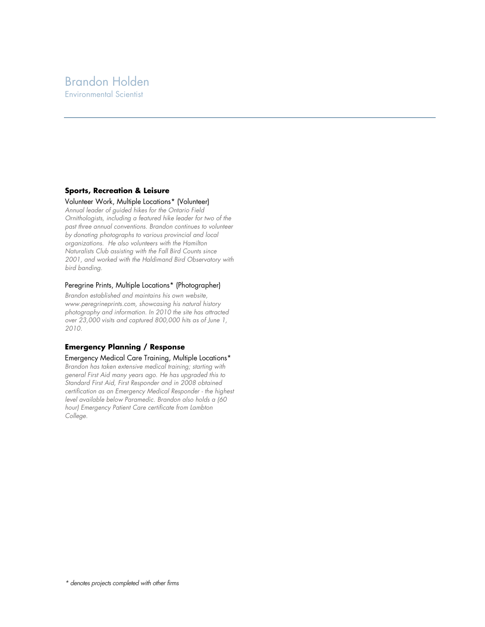# Brandon Holden Environmental Scientist

#### **Sports, Recreation & Leisure**

#### Volunteer Work, Multiple Locations\* (Volunteer)

*Annual leader of guided hikes for the Ontario Field Ornithologists, including a featured hike leader for two of the past three annual conventions. Brandon continues to volunteer by donating photographs to various provincial and local organizations. He also volunteers with the Hamilton Naturalists Club assisting with the Fall Bird Counts since 2001, and worked with the Haldimand Bird Observatory with bird banding.*

#### Peregrine Prints, Multiple Locations\* (Photographer)

*Brandon established and maintains his own website, www.peregrineprints.com, showcasing his natural history photography and information. In 2010 the site has attracted over 23,000 visits and captured 800,000 hits as of June 1, 2010.*

#### **Emergency Planning / Response**

Emergency Medical Care Training, Multiple Locations\* *Brandon has taken extensive medical training; starting with general First Aid many years ago. He has upgraded this to Standard First Aid, First Responder and in 2008 obtained certification as an Emergency Medical Responder - the highest level available below Paramedic. Brandon also holds a (60 hour) Emergency Patient Care certificate from Lambton College.*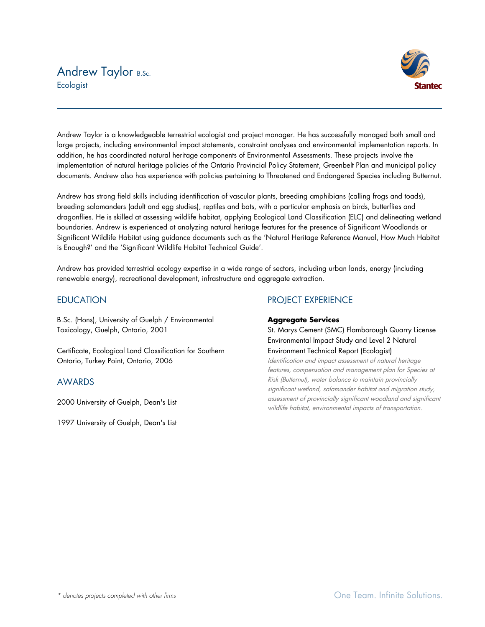# Andrew Taylor B.Sc. **Ecologist**



Andrew Taylor is a knowledgeable terrestrial ecologist and project manager. He has successfully managed both small and large projects, including environmental impact statements, constraint analyses and environmental implementation reports. In addition, he has coordinated natural heritage components of Environmental Assessments. These projects involve the implementation of natural heritage policies of the Ontario Provincial Policy Statement, Greenbelt Plan and municipal policy documents. Andrew also has experience with policies pertaining to Threatened and Endangered Species including Butternut.

Andrew has strong field skills including identification of vascular plants, breeding amphibians (calling frogs and toads), breeding salamanders (adult and egg studies), reptiles and bats, with a particular emphasis on birds, butterflies and dragonflies. He is skilled at assessing wildlife habitat, applying Ecological Land Classification (ELC) and delineating wetland boundaries. Andrew is experienced at analyzing natural heritage features for the presence of Significant Woodlands or Significant Wildlife Habitat using guidance documents such as the 'Natural Heritage Reference Manual, How Much Habitat is Enough?' and the 'Significant Wildlife Habitat Technical Guide'.

Andrew has provided terrestrial ecology expertise in a wide range of sectors, including urban lands, energy (including renewable energy), recreational development, infrastructure and aggregate extraction.

# **EDUCATION**

B.Sc. (Hons), University of Guelph / Environmental Toxicology, Guelph, Ontario, 2001

Certificate, Ecological Land Classification for Southern Ontario, Turkey Point, Ontario, 2006

# AWARDS

2000 University of Guelph, Dean's List

1997 University of Guelph, Dean's List

# PROJECT EXPERIENCE

#### **Aggregate Services**

St. Marys Cement (SMC) Flamborough Quarry License Environmental Impact Study and Level 2 Natural Environment Technical Report (Ecologist)

Identification and impact assessment of natural heritage features, compensation and management plan for Species at Risk (Butternut), water balance to maintain provincially significant wetland, salamander habitat and migration study, assessment of provincially significant woodland and significant wildlife habitat, environmental impacts of transportation.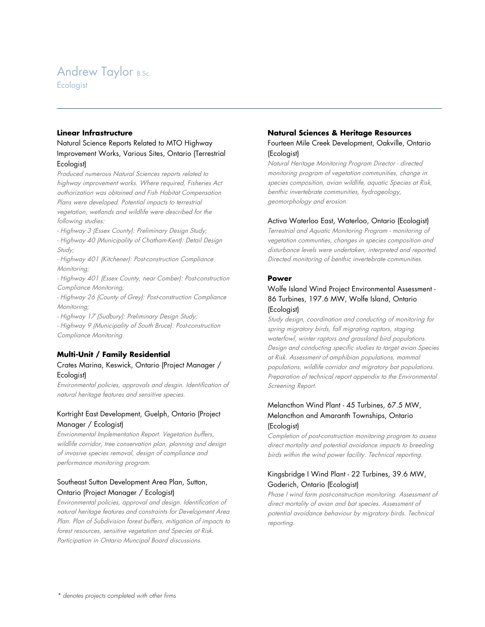# Andrew Taylor B.Sc.

**Ecologist** 

#### **Linear Infrastructure**

# Natural Science Reports Related to MTO Highway Improvement Works, Various Sites, Ontario (Terrestrial Ecologist)

Produced numerous Natural Sciences reports related to highway improvement works. Where required, Fisheries Act authorization was obtained and Fish Habitat Compensation Plans were developed. Potential impacts to terrestrial vegetation, wetlands and wildlife were described for the following studies:

- Highway 3 (Essex County): Preliminary Design Study;
- Highway 40 (Municipality of Chatham-Kent): Detail Design Study;
- Highway 401 (Kitchener): Post-construction Compliance Monitoring;
- Highway 401 (Essex County, near Comber): Post-construction Compliance Monitoring;
- Highway 26 (County of Grey): Post-construction Compliance Monitoring;
- Highway 17 (Sudbury): Preliminary Design Study; - Highway 9 (Municipality of South Bruce): Post-construction Compliance Monitoring.

# **Multi-Unit / Family Residential**

# Crates Marina, Keswick, Ontario (Project Manager / Ecologist)

Environmental policies, approvals and desgin. Identification of natural heritage features and sensitive species.

# Kortright East Development, Guelph, Ontario (Project Manager / Ecologist)

Envrionmental Implementation Report. Vegetation buffers, wildlife corridor, tree conservation plan, planning and design of invasive species removal, design of compliance and performance monitoring program.

# Southeast Sutton Development Area Plan, Sutton, Ontario (Project Manager / Ecologist)

Environmental policies, approval and design. Identification of natural heritage features and constraints for Development Area Plan. Plan of Subdivision forest buffers, mitigation of impacts to forest resources, sensitive vegetation and Species at Risk. Participation in Ontario Muncipal Board discussions.

#### **Natural Sciences & Heritage Resources**

### Fourteen Mile Creek Development, Oakville, Ontario (Ecologist)

Natural Heritage Monitoring Program Director - directed monitoring program of vegetation communities, change in species composition, avian wildlife, aquatic Species at Risk, benthic invertebrate communities, hydrogeology, geomorphology and erosion.

#### Activa Waterloo East, Waterloo, Ontario (Ecologist)

Terrestrial and Aquatic Monitoring Program - monitoring of vegetation communties, changes in species composition and disturbance levels were undertaken, interpreted and reported. Directed monitoring of benthic invertebrate communities.

#### **Power**

### Wolfe Island Wind Project Environmental Assessment - 86 Turbines, 197.6 MW, Wolfe Island, Ontario (Ecologist)

Study design, coordination and conducting of monitoring for spring migratory birds, fall migrating raptors, staging waterfowl, winter raptors and grassland bird populations. Design and conducting specific studies to target avian Species at Risk. Assessment of amphibian populations, mammal populations, wildlife corridor and migratory bat populations. Preparation of technical report appendix to the Environmental Screening Report.

# Melancthon Wind Plant - 45 Turbines, 67.5 MW, Melancthon and Amaranth Townships, Ontario (Ecologist)

Completion of post-construction monitoring program to assess direct mortality and potential avoidance impacts to breeding birds within the wind power facility. Technical reporting.

# Kingsbridge I Wind Plant - 22 Turbines, 39.6 MW, Goderich, Ontario (Ecologist)

Phase I wind farm post-construction monitoring. Assessment of direct mortality of avian and bat species. Assessment of potential avoidance behaviour by migratory birds. Technical reporting.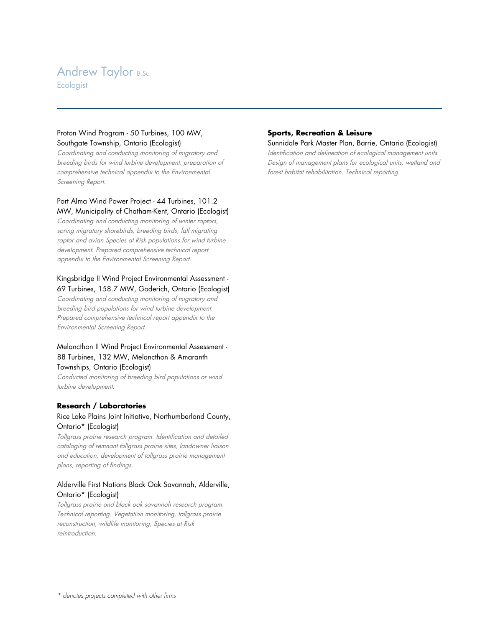# **Andrew Taylor B.Sc. Ecologist**

Proton Wind Program - 50 Turbines, 100 MW, Southgate Township, Ontario (Ecologist)

Coordinating and conducting monitoring of migratory and breeding birds for wind turbine development, preparation of comprehensive technical appendix to the Environmental Screening Report.

### Port Alma Wind Power Project - 44 Turbines, 101.2 MW, Municipality of Chatham-Kent, Ontario (Ecologist)

Coordinating and conducting monitoring of winter raptors, spring migratory shorebirds, breeding birds, fall migrating raptor and avian Species at Risk populations for wind turbine development. Prepared comprehensive technical report appendix to the Environmental Screening Report.

# Kingsbridge II Wind Project Environmental Assessment - 69 Turbines, 158.7 MW, Goderich, Ontario (Ecologist)

Coordinating and conducting monitoring of migratory and breeding bird populations for wind turbine development. Prepared comprehensive technical report appendix to the Environmental Screening Report.

# Melancthon II Wind Project Environmental Assessment - 88 Turbines, 132 MW, Melancthon & Amaranth Townships, Ontario (Ecologist)

Conducted monitoring of breeding bird populations or wind turbine development.

# **Research / Laboratories**

# Rice Lake Plains Joint Initiative, Northumberland County, Ontario\* (Ecologist)

Tallgrass prairie research program. Identification and detailed cataloging of remnant tallgrass prairie sites, landowner liaison and education, development of tallgrass prairie management plans, reporting of findings.

# Alderville First Nations Black Oak Savannah, Alderville, Ontario\* (Ecologist)

Tallgrass prairie and black oak savannah research program. Technical reporting. Vegetation monitoring, tallgrass prairie reconstruction, wildlife monitoring, Species at Risk reintroduction.

# **Sports, Recreation & Leisure**

Sunnidale Park Master Plan, Barrie, Ontario (Ecologist)

Identification and delineation of ecological management units. Design of management plans for ecological units, wetland and forest habitat rehabilitation. Technical reporting.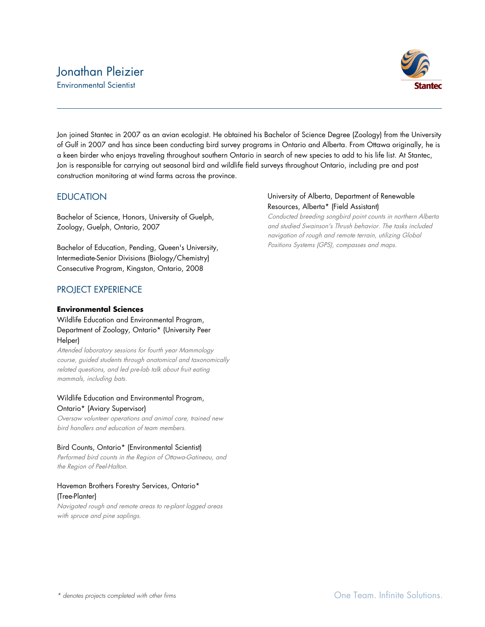# Jonathan Pleizier Environmental Scientist



Jon joined Stantec in 2007 as an avian ecologist. He obtained his Bachelor of Science Degree (Zoology) from the University of Gulf in 2007 and has since been conducting bird survey programs in Ontario and Alberta. From Ottawa originally, he is a keen birder who enjoys traveling throughout southern Ontario in search of new species to add to his life list. At Stantec, Jon is responsible for carrying out seasonal bird and wildlife field surveys throughout Ontario, including pre and post construction monitoring at wind farms across the province.

# **EDUCATION**

Bachelor of Science, Honors, University of Guelph, Zoology, Guelph, Ontario, 2007

Bachelor of Education, Pending, Queen's University, Intermediate-Senior Divisions (Biology/Chemistry) Consecutive Program, Kingston, Ontario, 2008

# PROJECT EXPERIENCE

### **Environmental Sciences**

# Wildlife Education and Environmental Program, Department of Zoology, Ontario\* (University Peer Helper)

Attended laboratory sessions for fourth year Mammology course, guided students through anatomical and taxonomically related questions, and led pre-lab talk about fruit eating mammals, including bats.

### Wildlife Education and Environmental Program, Ontario\* (Aviary Supervisor)

Oversaw volunteer operations and animal care, trained new bird handlers and education of team members.

# Bird Counts, Ontario\* (Environmental Scientist)

Performed bird counts in the Region of Ottawa-Gatineau, and the Region of Peel-Halton.

### Haveman Brothers Forestry Services, Ontario\* (Tree-Planter)

Navigated rough and remote areas to re-plant logged areas with spruce and pine saplings.

# University of Alberta, Department of Renewable Resources, Alberta\* (Field Assistant)

Conducted breeding songbird point counts in northern Alberta and studied Swainson's Thrush behavior. The tasks included navigation of rough and remote terrain, utilizing Global Positions Systems (GPS), compasses and maps.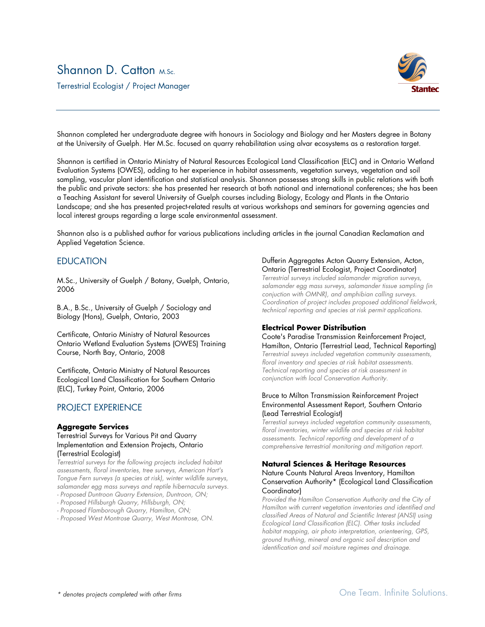# Shannon D. Catton M.Sc.

Terrestrial Ecologist / Project Manager



Shannon completed her undergraduate degree with honours in Sociology and Biology and her Masters degree in Botany at the University of Guelph. Her M.Sc. focused on quarry rehabilitation using alvar ecosystems as a restoration target.

Shannon is certified in Ontario Ministry of Natural Resources Ecological Land Classification (ELC) and in Ontario Wetland Evaluation Systems (OWES), adding to her experience in habitat assessments, vegetation surveys, vegetation and soil sampling, vascular plant identification and statistical analysis. Shannon possesses strong skills in public relations with both the public and private sectors: she has presented her research at both national and international conferences; she has been a Teaching Assistant for several University of Guelph courses including Biology, Ecology and Plants in the Ontario Landscape; and she has presented project-related results at various workshops and seminars for governing agencies and local interest groups regarding a large scale environmental assessment.

Shannon also is a published author for various publications including articles in the journal Canadian Reclamation and Applied Vegetation Science.

### **EDUCATION**

M.Sc., University of Guelph / Botany, Guelph, Ontario, 2006

B.A., B.Sc., University of Guelph / Sociology and Biology (Hons), Guelph, Ontario, 2003

Certificate, Ontario Ministry of Natural Resources Ontario Wetland Evaluation Systems (OWES) Training Course, North Bay, Ontario, 2008

Certificate, Ontario Ministry of Natural Resources Ecological Land Classification for Southern Ontario (ELC), Turkey Point, Ontario, 2006

# PROJECT EXPERIENCE

#### **Aggregate Services**

#### Terrestrial Surveys for Various Pit and Quarry Implementation and Extension Projects, Ontario (Terrestrial Ecologist)

*Terrestrial surveys for the following projects included habitat assessments, floral inventories, tree surveys, American Hart's Tongue Fern surveys (a species at risk), winter wildlife surveys, salamander egg mass surveys and reptile hibernacula surveys.*

*- Proposed Duntroon Quarry Extension, Duntroon, ON;*

- *- Proposed Hillsburgh Quarry, Hillsburgh, ON;*
- *- Proposed Flamborough Quarry, Hamilton, ON;*
- *- Proposed West Montrose Quarry, West Montrose, ON.*

#### Dufferin Aggregates Acton Quarry Extension, Acton, Ontario (Terrestrial Ecologist, Project Coordinator)

*Terrestrial surveys included salamander migration surveys, salamander egg mass surveys, salamander tissue sampling (in conjuction with OMNR), and amphibian calling surveys. Coordination of project includes proposed additional fieldwork, technical reporting and species at risk permit applications.*

#### **Electrical Power Distribution**

Coote's Paradise Transmission Reinforcement Project, Hamilton, Ontario (Terrestrial Lead, Technical Reporting) *Terrestrial suveys included vegetation community assessments, floral inventory and species at risk habitat assessments. Technical reporting and species at risk assessment in conjunction with local Conservation Authority.*

#### Bruce to Milton Transmission Reinforcement Project Environmental Assessment Report, Southern Ontario (Lead Terrestrial Ecologist)

*Terrestial surveys included vegetation community assessments, floral inventories, winter wildlife and species at risk habitat assessments. Technical reporting and development of a comprehensive terrestrial monitoring and mitigation report.*

#### **Natural Sciences & Heritage Resources** Nature Counts Natural Areas Inventory, Hamilton Conservation Authority\* (Ecological Land Classification Coordinator)

*Provided the Hamilton Conservation Authority and the City of Hamilton with current vegetation inventories and identified and classified Areas of Natural and Scientific Interest (ANSI) using Ecological Land Classification (ELC). Other tasks included habitat mapping, air photo interpretation, orienteering, GPS, ground truthing, mineral and organic soil description and identification and soil moisture regimes and drainage.*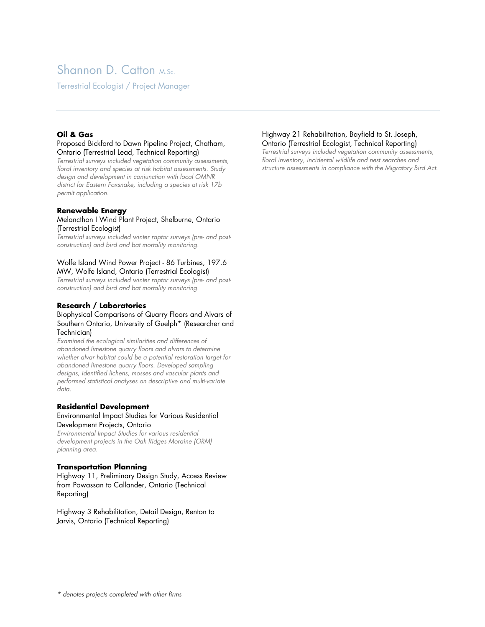# Shannon D. Catton M.Sc.

Terrestrial Ecologist / Project Manager

#### **Oil & Gas**

#### Proposed Bickford to Dawn Pipeline Project, Chatham, Ontario (Terrestrial Lead, Technical Reporting)

*Terrestrial surveys included vegetation community assessments, floral inventory and species at risk habitat assessments. Study design and development in conjunction with local OMNR district for Eastern Foxsnake, including a species at risk 17b permit application.*

#### **Renewable Energy**

#### Melancthon I Wind Plant Project, Shelburne, Ontario (Terrestrial Ecologist)

*Terrestrial surveys included winter raptor surveys (pre- and postconstruction) and bird and bat mortality monitoring.*

#### Wolfe Island Wind Power Project - 86 Turbines, 197.6 MW, Wolfe Island, Ontario (Terrestrial Ecologist)

*Terrestrial surveys included winter raptor surveys (pre- and postconstruction) and bird and bat mortality monitoring.*

### **Research / Laboratories**

#### Biophysical Comparisons of Quarry Floors and Alvars of Southern Ontario, University of Guelph\* (Researcher and Technician)

*Examined the ecological similarities and differences of abandoned limestone quarry floors and alvars to determine whether alvar habitat could be a potential restoration target for abandoned limestone quarry floors. Developed sampling designs, identified lichens, mosses and vascular plants and performed statistical analyses on descriptive and multi-variate data.*

#### **Residential Development**

#### Environmental Impact Studies for Various Residential Development Projects, Ontario

*Environmental Impact Studies for various residential development projects in the Oak Ridges Moraine (ORM) planning area.*

#### **Transportation Planning**

Highway 11, Preliminary Design Study, Access Review from Powassan to Callander, Ontario (Technical Reporting)

Highway 3 Rehabilitation, Detail Design, Renton to Jarvis, Ontario (Technical Reporting)

#### Highway 21 Rehabilitation, Bayfield to St. Joseph, Ontario (Terrestrial Ecologist, Technical Reporting)

*Terrestrial surveys included vegetation community assessments, floral inventory, incidental wildlife and nest searches and structure assessments in compliance with the Migratory Bird Act.*